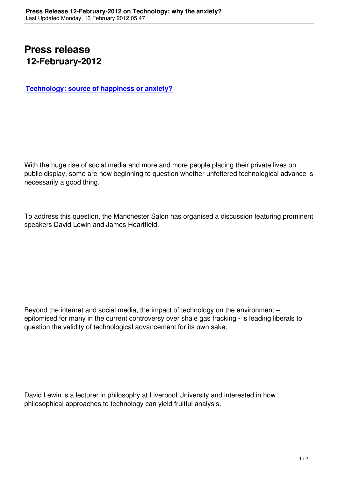## **Press release 12-February-2012**

**Technology: source of happiness or anxiety?**

With the huge rise of social media and more and more people placing their private lives on public display, some are now beginning to question whether unfettered technological advance is necessarily a good thing.

To address this question, the Manchester Salon has organised a discussion featuring prominent speakers David Lewin and James Heartfield.

Beyond the internet and social media, the impact of technology on the environment – epitomised for many in the current controversy over shale gas fracking - is leading liberals to question the validity of technological advancement for its own sake.

David Lewin is a lecturer in philosophy at Liverpool University and interested in how philosophical approaches to technology can yield fruitful analysis.